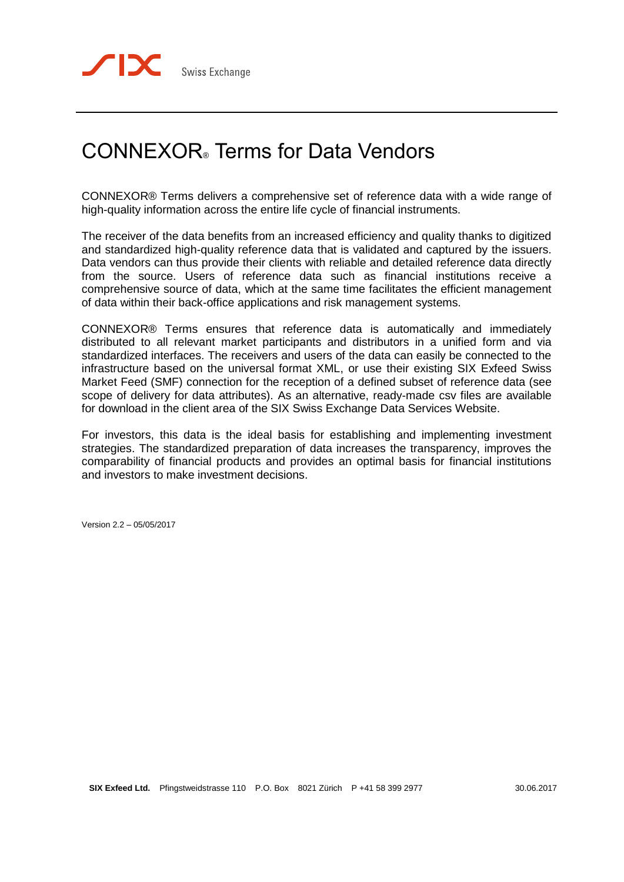# CONNEXOR® Terms for Data Vendors

CONNEXOR® Terms delivers a comprehensive set of reference data with a wide range of high-quality information across the entire life cycle of financial instruments.

The receiver of the data benefits from an increased efficiency and quality thanks to digitized and standardized high-quality reference data that is validated and captured by the issuers. Data vendors can thus provide their clients with reliable and detailed reference data directly from the source. Users of reference data such as financial institutions receive a comprehensive source of data, which at the same time facilitates the efficient management of data within their back-office applications and risk management systems.

CONNEXOR® Terms ensures that reference data is automatically and immediately distributed to all relevant market participants and distributors in a unified form and via standardized interfaces. The receivers and users of the data can easily be connected to the infrastructure based on the universal format XML, or use their existing SIX Exfeed Swiss Market Feed (SMF) connection for the reception of a defined subset of reference data (see scope of delivery for data attributes). As an alternative, ready-made csv files are available for download in the client area of the SIX Swiss Exchange Data Services Website.

For investors, this data is the ideal basis for establishing and implementing investment strategies. The standardized preparation of data increases the transparency, improves the comparability of financial products and provides an optimal basis for financial institutions and investors to make investment decisions.

Version 2.2 – 05/05/2017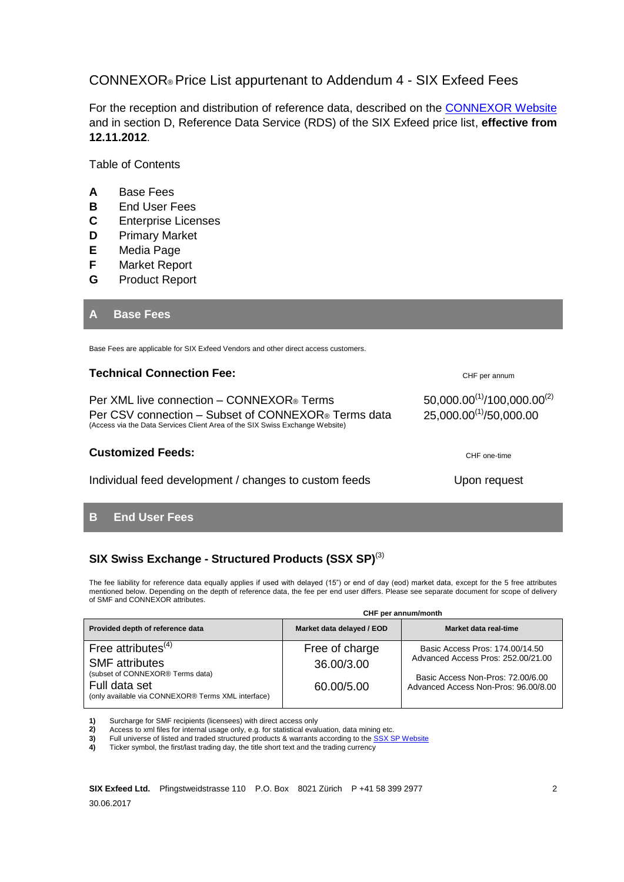# CONNEXOR® Price List appurtenant to Addendum 4 - SIX Exfeed Fees

For the reception and distribution of reference data, described on the **CONNEXOR Website** and in section D, Reference Data Service (RDS) of the SIX Exfeed price list, **effective from 12.11.2012**.

Table of Contents

- **A** Base Fees
- **B** End User Fees
- **C** Enterprise Licenses
- **D** Primary Market
- **E** Media Page
- **F** Market Report
- **G** Product Report

#### **A Base Fees**

Base Fees are applicable for SIX Exfeed Vendors and other direct access customers.

#### **Technical Connection Fee:** CHE DESCRIPTION CHE per annum

Per XML live connection – CONNEXOR® Terms  $50,000.00^{(1)}/100,000.00^{(2)}$ Per CSV connection – Subset of CONNEXOR® Terms data (Access via the Data Services Client Area of the SIX Swiss Exchange Website)

#### **Customized Feeds:** CHE one-time

Individual feed development / changes to custom feeds Upon request

#### **B End User Fees**

#### **SIX Swiss Exchange - Structured Products (SSX SP)**(3)

The fee liability for reference data equally applies if used with delayed (15") or end of day (eod) market data, except for the 5 free attributes mentioned below. Depending on the depth of reference data, the fee per end user differs. Please see separate document for scope of delivery of SMF and CONNEXOR attributes.

|                                                                                                         | CHF per annum/month          |                                                                           |  |
|---------------------------------------------------------------------------------------------------------|------------------------------|---------------------------------------------------------------------------|--|
| Provided depth of reference data                                                                        | Market data delayed / EOD    | Market data real-time                                                     |  |
| Free attributes $(4)$<br><b>SMF</b> attributes                                                          | Free of charge<br>36,00/3,00 | Basic Access Pros: 174,00/14.50<br>Advanced Access Pros: 252.00/21.00     |  |
| (subset of CONNEXOR® Terms data)<br>Full data set<br>(only available via CONNEXOR® Terms XML interface) | 60.00/5.00                   | Basic Access Non-Pros: 72.00/6.00<br>Advanced Access Non-Pros: 96,00/8,00 |  |

**1)** Surcharge for SMF recipients (licensees) with direct access only **2)** Access to xml files for internal usage only, e.g. for statistical eval

2) Access to xml files for internal usage only, e.g. for statistical evaluation, data mining etc.<br>3) Full universe of listed and traded structured products & warrants according to the SSX S

Full universe of listed and traded structured products & warrants according to the **SSX SP Website** 

**4)** Ticker symbol, the first/last trading day, the title short text and the trading currency

25,000.00(1)/50,000.00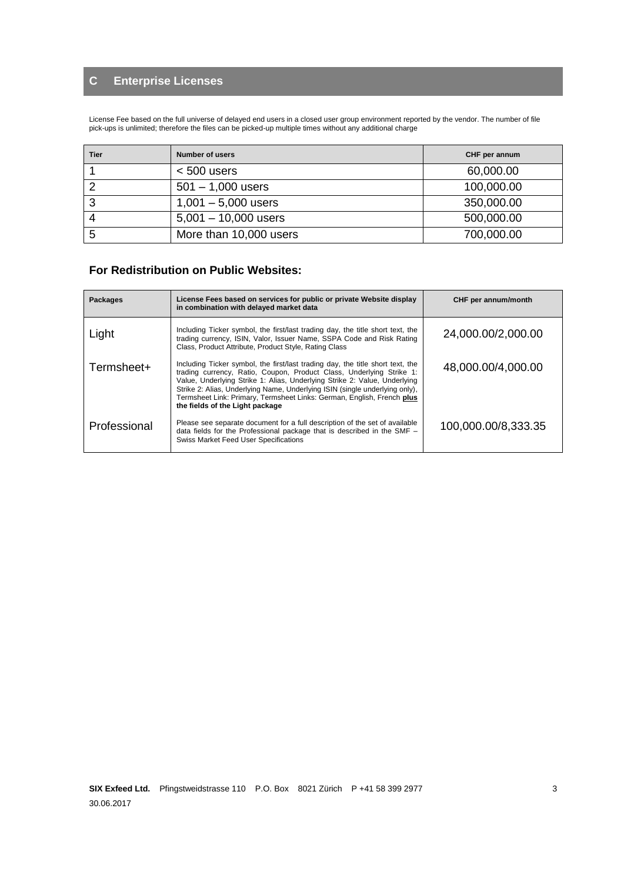# **C Enterprise Licenses**

License Fee based on the full universe of delayed end users in a closed user group environment reported by the vendor. The number of file pick-ups is unlimited; therefore the files can be picked-up multiple times without any additional charge

| Tier | <b>Number of users</b> | CHF per annum |
|------|------------------------|---------------|
|      | $< 500$ users          | 60,000.00     |
|      | $501 - 1,000$ users    | 100,000.00    |
| 3    | $1,001 - 5,000$ users  | 350,000.00    |
|      | $5,001 - 10,000$ users | 500,000.00    |
| 5    | More than 10,000 users | 700,000.00    |

### **For Redistribution on Public Websites:**

| <b>Packages</b> | License Fees based on services for public or private Website display<br>in combination with delayed market data                                                                                                                                                                                                                                                                                                                 | CHF per annum/month |
|-----------------|---------------------------------------------------------------------------------------------------------------------------------------------------------------------------------------------------------------------------------------------------------------------------------------------------------------------------------------------------------------------------------------------------------------------------------|---------------------|
| Light           | Including Ticker symbol, the first/last trading day, the title short text, the<br>trading currency, ISIN, Valor, Issuer Name, SSPA Code and Risk Rating<br>Class, Product Attribute, Product Style, Rating Class                                                                                                                                                                                                                | 24,000.00/2,000.00  |
| Termsheet+      | Including Ticker symbol, the first/last trading day, the title short text, the<br>trading currency, Ratio, Coupon, Product Class, Underlying Strike 1:<br>Value, Underlying Strike 1: Alias, Underlying Strike 2: Value, Underlying<br>Strike 2: Alias, Underlying Name, Underlying ISIN (single underlying only),<br>Termsheet Link: Primary, Termsheet Links: German, English, French plus<br>the fields of the Light package | 48,000.00/4,000.00  |
| Professional    | Please see separate document for a full description of the set of available<br>data fields for the Professional package that is described in the SMF -<br><b>Swiss Market Feed User Specifications</b>                                                                                                                                                                                                                          | 100,000.00/8,333.35 |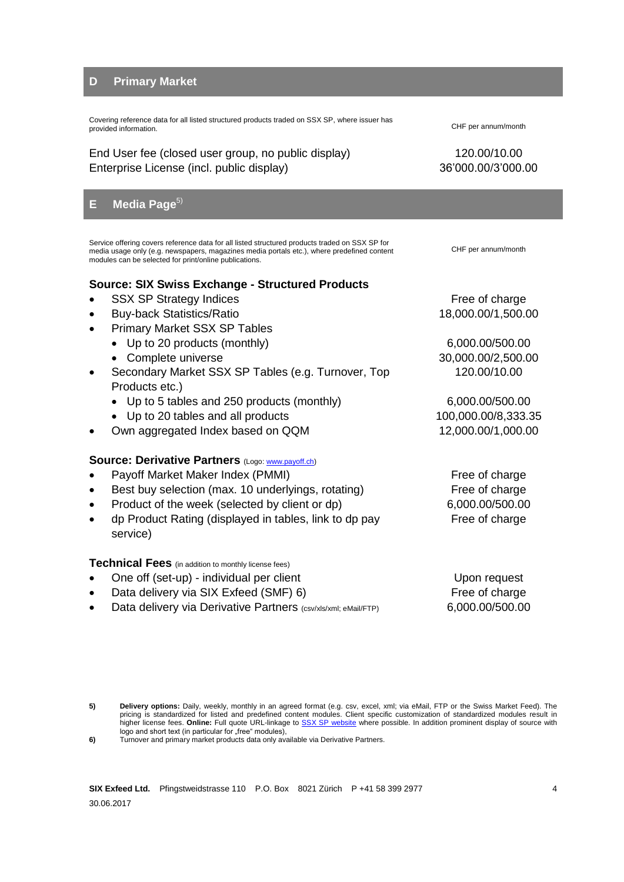#### **D Primary Market**

Covering reference data for all listed structured products traded on SSX SP, where issuer has provided information. CHF per annum/month

End User fee (closed user group, no public display) 120.00/10.00 Enterprise License (incl. public display) 36'000.00/3'000.00

## **E** Media Page<sup>5)</sup>

Service offering covers reference data for all listed structured products traded on SSX SP for media usage only (e.g. newspapers, magazines media portals etc.), where predefined content modules can be selected for print/online publications.

#### **Source: SIX Swiss Exchange - Structured Products**

- SSX SP Strategy Indices **Free of charge** Free of charge
- Buy-back Statistics/Ratio 18,000.00/1,500.00
	- Primary Market SSX SP Tables
		- Up to 20 products (monthly) 6,000.00/500.00
		- Complete universe 20,000.00/2,500.00
- Secondary Market SSX SP Tables (e.g. Turnover, Top Products etc.)
	- Up to 5 tables and 250 products (monthly) 6,000.00/500.00
	- Up to 20 tables and all products 100,000.00/8,333.35
- Own aggregated Index based on QQM 12,000.00/1,000.00

#### **Source: Derivative Partners (Logo[: www.payoff.ch\)](http://www.payoff.ch/)**

- Payoff Market Maker Index (PMMI) Free of charge
- Best buy selection (max. 10 underlyings, rotating) Free of charge
- Product of the week (selected by client or dp) 6,000.00/500.00
- dp Product Rating (displayed in tables, link to dp pay service)

#### **Technical Fees** (in addition to monthly license fees)

- One off (set-up) individual per client Upon request
- Data delivery via SIX Exfeed (SMF) 6) Free of charge
- Data delivery via Derivative Partners (csv/xls/xml; eMail/FTP) 6,000.00/500.00

CHF per annum/month

120.00/10.00

Free of charge

**<sup>5)</sup> Delivery options:** Daily, weekly, monthly in an agreed format (e.g. csv, excel, xml; via eMail, FTP or the Swiss Market Feed). The pricing is standardized for listed and predefined content modules. Client specific customization of standardized modules result in higher license fees. **Online:** Full quote URL-linkage to SSX SP [website](http://www.six-structured-products.com/en/latest-news/marktuebersicht) where possible. In addition prominent display of source with logo and short text (in particular for "free" modules),

**<sup>6)</sup>** Turnover and primary market products data only available via Derivative Partners.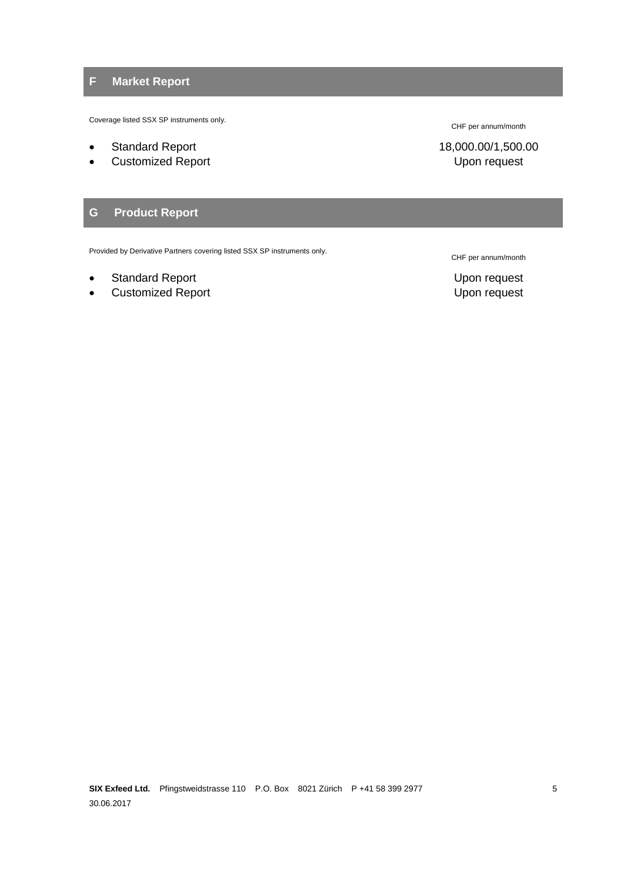# **F Market Report**

Coverage listed SSX SP instruments only.

- 
- Customized Report **Customized Report** 2001 12:30 The Upon request

#### **G Product Report**

Provided by Derivative Partners covering listed SSX SP instruments only.

- Standard Report **Standard Report** 2008 and 2008 and 2008 and 2008 and 2008 and 2008 and 2008 and 2008 and 2008 and 2008 and 2008 and 2008 and 2008 and 2008 and 2008 and 2008 and 2008 and 2008 and 2008 and 2008 and 2008 and
- Customized Report **Customized Report** Customized Report

CHF per annum/month

Standard Report 18,000.00/1,500.00

CHF per annum/month